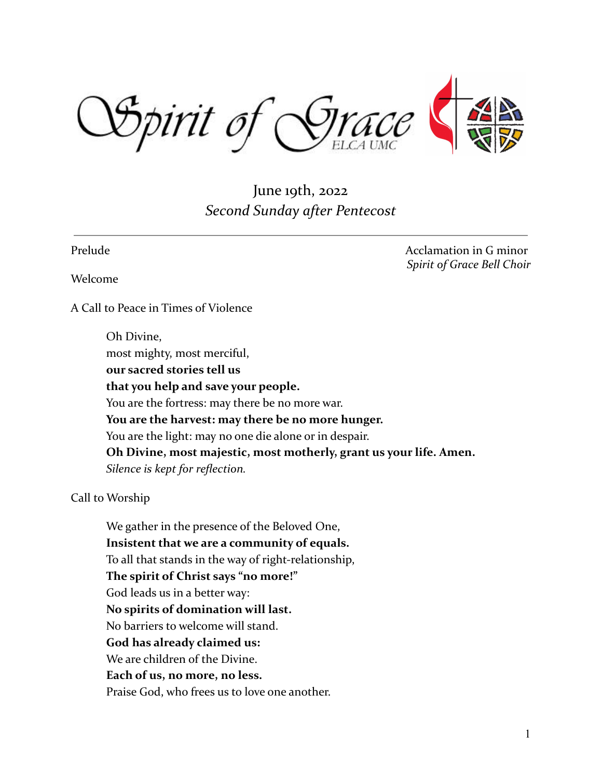pirit of  $\mathcal{O}$ ra

# June 19th, 2022 *Second Sunday after Pentecost*

Welcome

Prelude Acclamation in G minor *Spirit of Grace Bell Choir*

A Call to Peace in Times of Violence

Oh Divine, most mighty, most merciful, **our sacred stories tell us that you help and save your people.** You are the fortress: may there be no more war. **You are the harvest: may there be no more hunger.** You are the light: may no one die alone or in despair. **Oh Divine, most majestic, most motherly, grant us your life. Amen.** *Silence is kept for reflection.*

Call to Worship

We gather in the presence of the Beloved One, **Insistent that we are a community of equals.** To all that stands in the way of right-relationship, **The spirit of Christ says "no more!"** God leads us in a better way: **No spirits of domination will last.** No barriers to welcome will stand. **God has already claimed us:** We are children of the Divine. **Each of us, no more, no less.** Praise God, who frees us to love one another.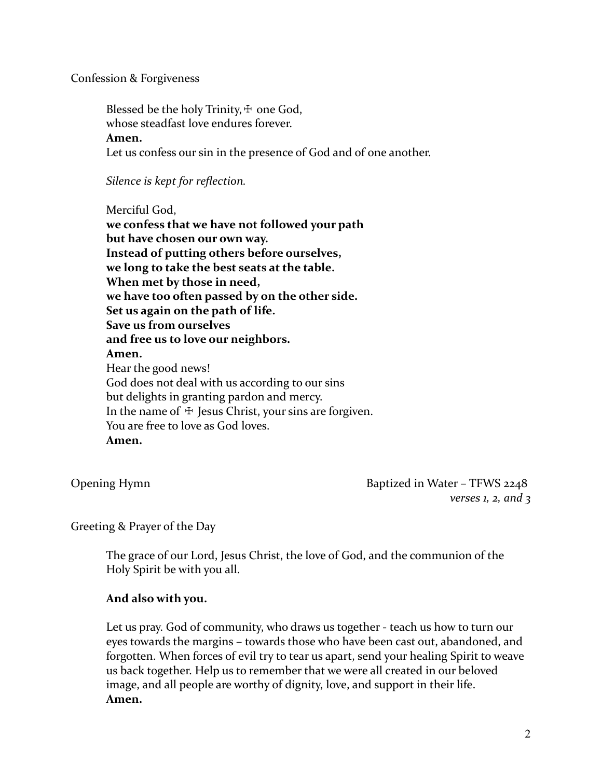Confession & Forgiveness

Blessed be the holy Trinity,  $\pm$  one God, whose steadfast love endures forever. **Amen.** Let us confess our sin in the presence of God and of one another.

*Silence is kept for reflection.*

Merciful God,

**we confess that we have not followed your path but have chosen our own way. Instead of putting others before ourselves, we long to take the best seats at the table. When met by those in need, we have too often passed by on the other side. Set us again on the path of life. Save us from ourselves and free us to love our neighbors. Amen.** Hear the good news! God does not deal with us according to our sins but delights in granting pardon and mercy. In the name of  $+$  Jesus Christ, your sins are forgiven. You are free to love as God loves. **Amen.**

Opening Hymn Baptized in Water – TFWS 2248 *verses 1, 2, and 3*

Greeting & Prayer of the Day

The grace of our Lord, Jesus Christ, the love of God, and the communion of the Holy Spirit be with you all.

### **And also with you.**

Let us pray. God of community, who draws us together - teach us how to turn our eyes towards the margins – towards those who have been cast out, abandoned, and forgotten. When forces of evil try to tear us apart, send your healing Spirit to weave us back together. Help us to remember that we were all created in our beloved image, and all people are worthy of dignity, love, and support in their life. **Amen.**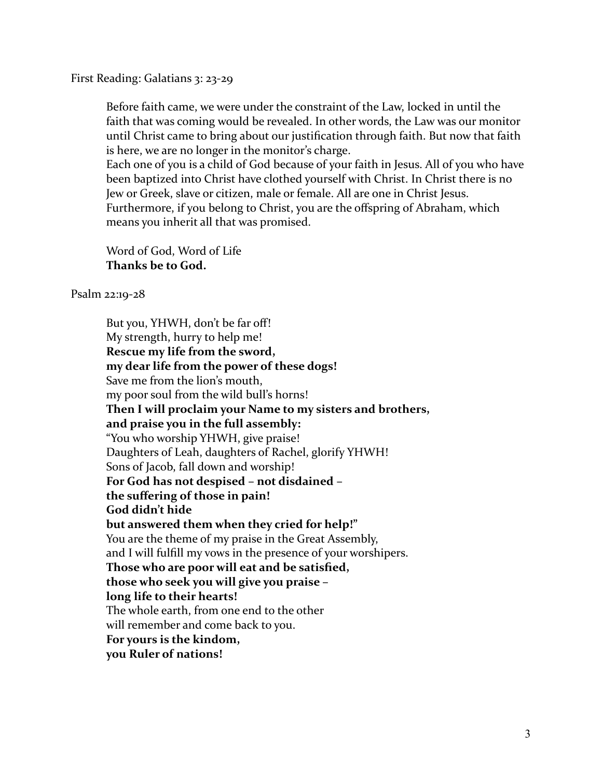First Reading: Galatians 3: 23-29

Before faith came, we were under the constraint of the Law, locked in until the faith that was coming would be revealed. In other words, the Law was our monitor until Christ came to bring about our justification through faith. But now that faith is here, we are no longer in the monitor's charge.

Each one of you is a child of God because of your faith in Jesus. All of you who have been baptized into Christ have clothed yourself with Christ. In Christ there is no Jew or Greek, slave or citizen, male or female. All are one in Christ Jesus. Furthermore, if you belong to Christ, you are the offspring of Abraham, which means you inherit all that was promised.

Word of God, Word of Life **Thanks be to God.**

### Psalm 22:19-28

But you, YHWH, don't be far off! My strength, hurry to help me! **Rescue my life from the sword, my dear life from the power of these dogs!** Save me from the lion's mouth, my poor soul from the wild bull's horns! **Then I will proclaim your Name to my sisters and brothers, and praise you in the full assembly:** "You who worship YHWH, give praise! Daughters of Leah, daughters of Rachel, glorify YHWH! Sons of Jacob, fall down and worship! **For God has not despised – not disdained – the suffering of those in pain! God didn't hide but answered them when they cried for help!"** You are the theme of my praise in the Great Assembly, and I will fulfill my vows in the presence of your worshipers. **Those who are poor will eat and be satisfied, those who seek you will give you praise – long life to their hearts!** The whole earth, from one end to the other will remember and come back to you. **For yours is the kindom, you Ruler of nations!**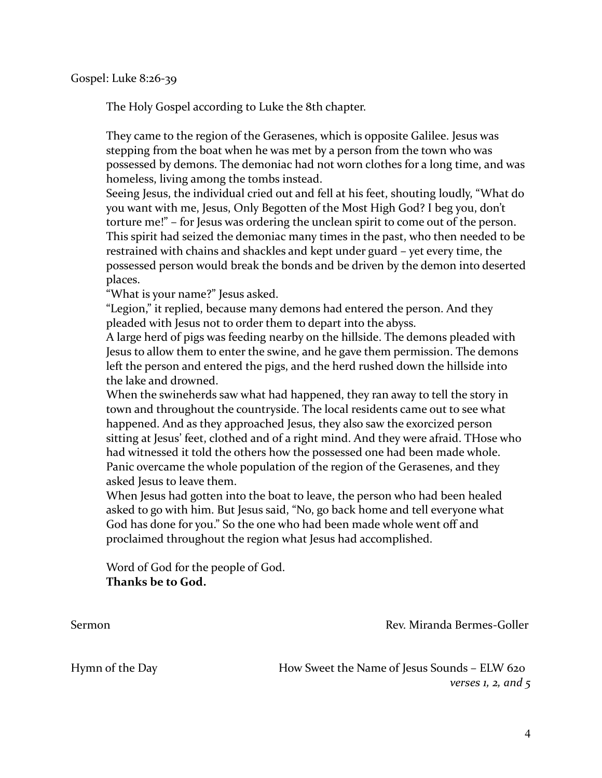The Holy Gospel according to Luke the 8th chapter.

Gospel: Luke 8:26-39

stepping from the boat when he was met by a person from the town who was possessed by demons. The demoniac had not worn clothes for a long time, and was homeless, living among the tombs instead.

They came to the region of the Gerasenes, which is opposite Galilee. Jesus was

Seeing Jesus, the individual cried out and fell at his feet, shouting loudly, "What do you want with me, Jesus, Only Begotten of the Most High God? I beg you, don't torture me!" – for Jesus was ordering the unclean spirit to come out of the person. This spirit had seized the demoniac many times in the past, who then needed to be restrained with chains and shackles and kept under guard – yet every time, the possessed person would break the bonds and be driven by the demon into deserted places.

"What is your name?" Jesus asked.

"Legion," it replied, because many demons had entered the person. And they pleaded with Jesus not to order them to depart into the abyss.

A large herd of pigs was feeding nearby on the hillside. The demons pleaded with Jesus to allow them to enter the swine, and he gave them permission. The demons left the person and entered the pigs, and the herd rushed down the hillside into the lake and drowned.

When the swineherds saw what had happened, they ran away to tell the story in town and throughout the countryside. The local residents came out to see what happened. And as they approached Jesus, they also saw the exorcized person sitting at Jesus' feet, clothed and of a right mind. And they were afraid. THose who had witnessed it told the others how the possessed one had been made whole. Panic overcame the whole population of the region of the Gerasenes, and they asked Jesus to leave them.

When Jesus had gotten into the boat to leave, the person who had been healed asked to go with him. But Jesus said, "No, go back home and tell everyone what God has done for you." So the one who had been made whole went off and proclaimed throughout the region what Jesus had accomplished.

Word of God for the people of God. **Thanks be to God.**

Sermon **Rev. Miranda Bermes-Goller** 

Hymn of the Day How Sweet the Name of Jesus Sounds – ELW 620 *verses 1, 2, and 5*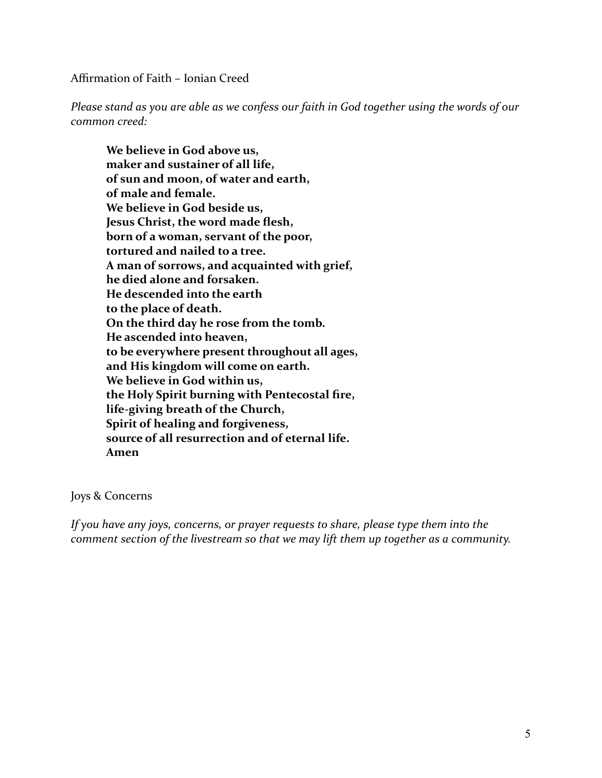Affirmation of Faith – Ionian Creed

*Please stand as you are able as we confess our faith in God together using the words of our common creed:*

**We believe in God above us, maker and sustainer of all life, of sun and moon, of water and earth, of male and female. We believe in God beside us, Jesus Christ, the word made flesh, born of a woman, servant of the poor, tortured and nailed to a tree. A man of sorrows, and acquainted with grief, he died alone and forsaken. He descended into the earth to the place of death. On the third day he rose from the tomb. He ascended into heaven, to be everywhere present throughout all ages, and His kingdom will come on earth. We believe in God within us, the Holy Spirit burning with Pentecostal fire, life-giving breath of the Church, Spirit of healing and forgiveness, source of all resurrection and of eternal life. Amen**

Joys & Concerns

*If you have any joys, concerns, or prayer requests to share, please type them into the comment section of the livestream so that we may lift them up together as a community.*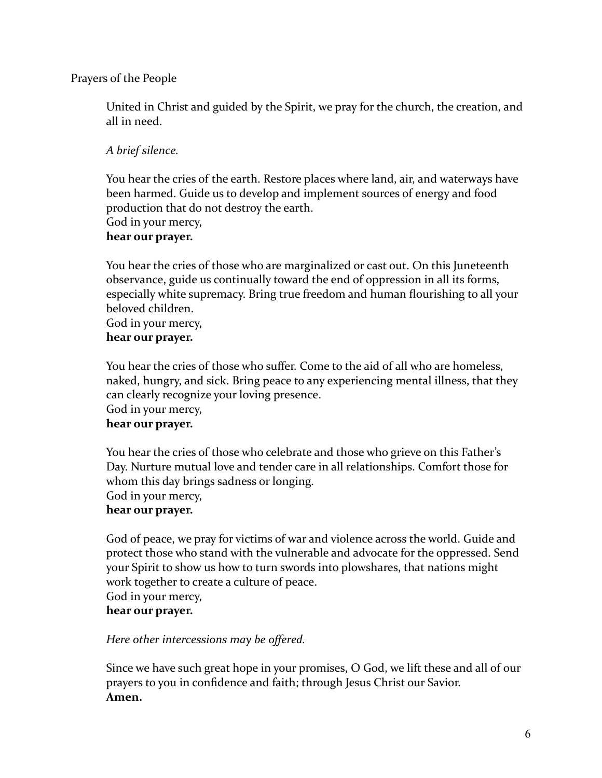### Prayers of the People

United in Christ and guided by the Spirit, we pray for the church, the creation, and all in need.

### *A brief silence.*

You hear the cries of the earth. Restore places where land, air, and waterways have been harmed. Guide us to develop and implement sources of energy and food production that do not destroy the earth. God in your mercy, **hear our prayer.**

You hear the cries of those who are marginalized or cast out. On this Juneteenth observance, guide us continually toward the end of oppression in all its forms, especially white supremacy. Bring true freedom and human flourishing to all your beloved children.

God in your mercy, **hear our prayer.**

You hear the cries of those who suffer. Come to the aid of all who are homeless, naked, hungry, and sick. Bring peace to any experiencing mental illness, that they can clearly recognize your loving presence. God in your mercy,

### **hear our prayer.**

You hear the cries of those who celebrate and those who grieve on this Father's Day. Nurture mutual love and tender care in all relationships. Comfort those for whom this day brings sadness or longing. God in your mercy,

### **hear our prayer.**

God of peace, we pray for victims of war and violence across the world. Guide and protect those who stand with the vulnerable and advocate for the oppressed. Send your Spirit to show us how to turn swords into plowshares, that nations might work together to create a culture of peace. God in your mercy,

# **hear our prayer.**

### *Here other intercessions may be offered.*

Since we have such great hope in your promises, O God, we lift these and all of our prayers to you in confidence and faith; through Jesus Christ our Savior. **Amen.**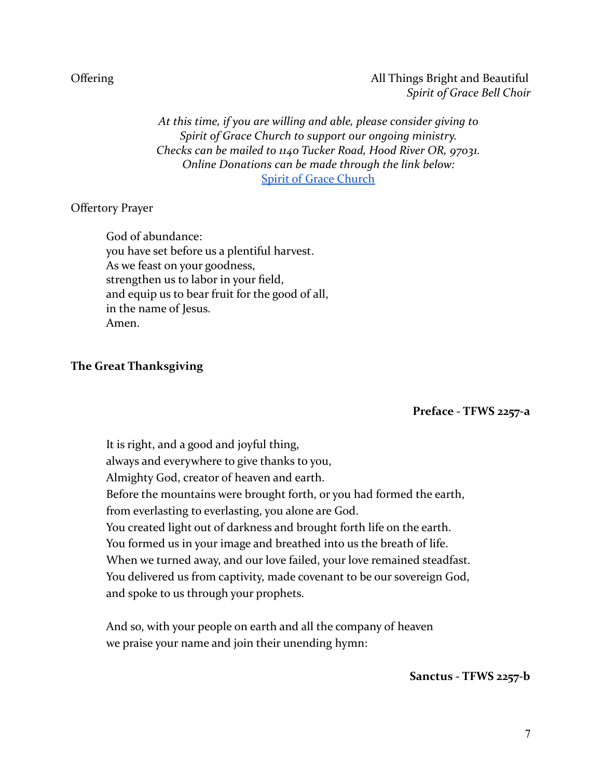Offering **Community Community** All Things Bright and Beautiful *Spirit of Grace Bell Choir*

> *At this time, if you are willing and able, please consider giving to Spirit of Grace Church to support our ongoing ministry. Checks can be mailed to 1140 Tucker Road, Hood River OR, 97031. Online Donations can be made through the link below:* Spirit [of Grace Church](https://tithe.ly/give?c=5079834)

### Offertory Prayer

God of abundance: you have set before us a plentiful harvest. As we feast on your goodness, strengthen us to labor in your field, and equip us to bear fruit for the good of all, in the name of Jesus. Amen.

### **The Great Thanksgiving**

**Preface - TFWS 2257-a**

It is right, and a good and joyful thing, always and everywhere to give thanks to you, Almighty God, creator of heaven and earth. Before the mountains were brought forth, or you had formed the earth, from everlasting to everlasting, you alone are God. You created light out of darkness and brought forth life on the earth. You formed us in your image and breathed into us the breath of life. When we turned away, and our love failed, your love remained steadfast. You delivered us from captivity, made covenant to be our sovereign God, and spoke to us through your prophets.

And so, with your people on earth and all the company of heaven we praise your name and join their unending hymn:

**Sanctus - TFWS 2257-b**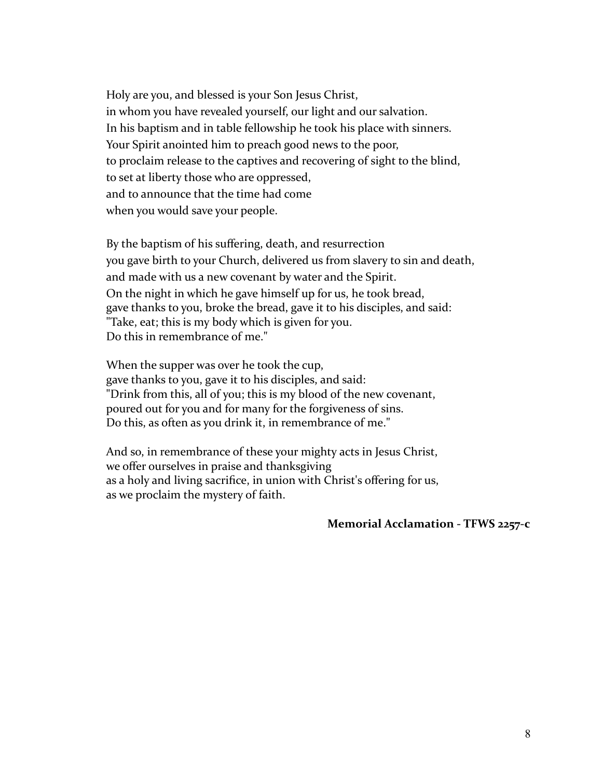Holy are you, and blessed is your Son Jesus Christ, in whom you have revealed yourself, our light and our salvation. In his baptism and in table fellowship he took his place with sinners. Your Spirit anointed him to preach good news to the poor, to proclaim release to the captives and recovering of sight to the blind, to set at liberty those who are oppressed, and to announce that the time had come when you would save your people.

By the baptism of his suffering, death, and resurrection you gave birth to your Church, delivered us from slavery to sin and death, and made with us a new covenant by water and the Spirit. On the night in which he gave himself up for us, he took bread, gave thanks to you, broke the bread, gave it to his disciples, and said: "Take, eat; this is my body which is given for you. Do this in remembrance of me."

When the supper was over he took the cup, gave thanks to you, gave it to his disciples, and said: "Drink from this, all of you; this is my blood of the new covenant, poured out for you and for many for the forgiveness of sins. Do this, as often as you drink it, in remembrance of me."

And so, in remembrance of these your mighty acts in Jesus Christ, we offer ourselves in praise and thanksgiving as a holy and living sacrifice, in union with Christ's offering for us, as we proclaim the mystery of faith.

**Memorial Acclamation - TFWS 2257-c**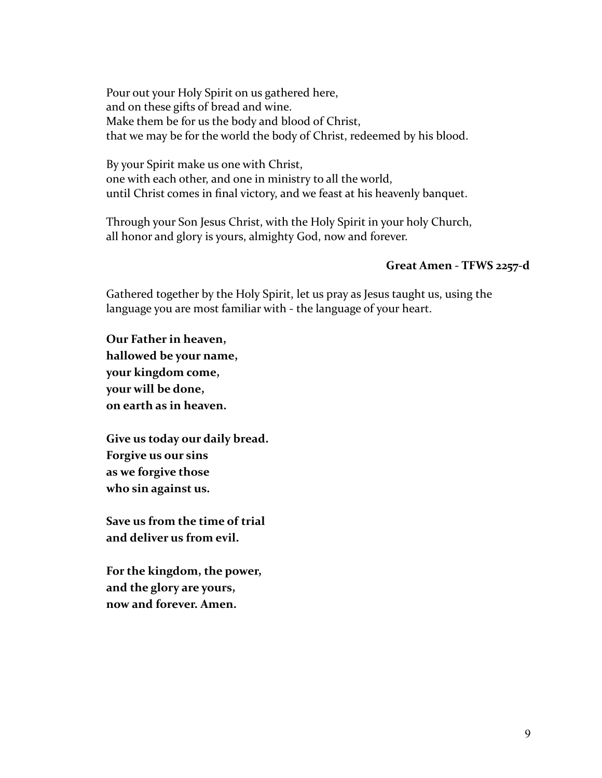Pour out your Holy Spirit on us gathered here, and on these gifts of bread and wine. Make them be for us the body and blood of Christ, that we may be for the world the body of Christ, redeemed by his blood.

By your Spirit make us one with Christ, one with each other, and one in ministry to all the world, until Christ comes in final victory, and we feast at his heavenly banquet.

Through your Son Jesus Christ, with the Holy Spirit in your holy Church, all honor and glory is yours, almighty God, now and forever.

### **Great Amen - TFWS 2257-d**

Gathered together by the Holy Spirit, let us pray as Jesus taught us, using the language you are most familiar with - the language of your heart.

**Our Father in heaven, hallowed be your name, your kingdom come, your will be done, on earth as in heaven.**

**Give us today our daily bread. Forgive us our sins as we forgive those who sin against us.**

**Save us from the time of trial and deliver us from evil.**

**For the kingdom, the power, and the glory are yours, now and forever. Amen.**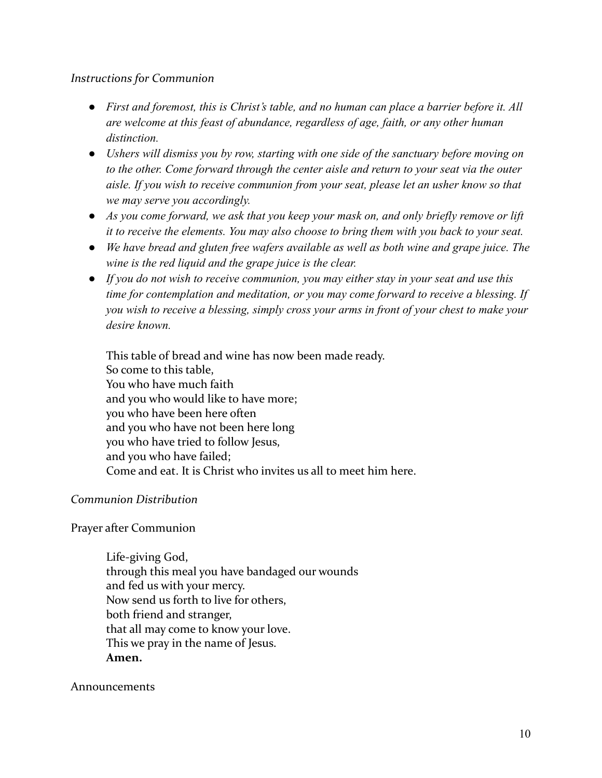### *Instructions for Communion*

- *● First and foremost, this is Christ's table, and no human can place a barrier before it. All are welcome at this feast of abundance, regardless of age, faith, or any other human distinction.*
- *● Ushers will dismiss you by row, starting with one side of the sanctuary before moving on to the other. Come forward through the center aisle and return to your seat via the outer aisle. If you wish to receive communion from your seat, please let an usher know so that we may serve you accordingly.*
- *● As you come forward, we ask that you keep your mask on, and only briefly remove or lift it to receive the elements. You may also choose to bring them with you back to your seat.*
- *● We have bread and gluten free wafers available as well as both wine and grape juice. The wine is the red liquid and the grape juice is the clear.*
- *● If you do not wish to receive communion, you may either stay in your seat and use this time for contemplation and meditation, or you may come forward to receive a blessing. If you wish to receive a blessing, simply cross your arms in front of your chest to make your desire known.*

This table of bread and wine has now been made ready. So come to this table, You who have much faith and you who would like to have more; you who have been here often and you who have not been here long you who have tried to follow Jesus, and you who have failed; Come and eat. It is Christ who invites us all to meet him here.

### *Communion Distribution*

### Prayer after Communion

Life-giving God, through this meal you have bandaged our wounds and fed us with your mercy. Now send us forth to live for others, both friend and stranger, that all may come to know your love. This we pray in the name of Jesus. **Amen.**

### Announcements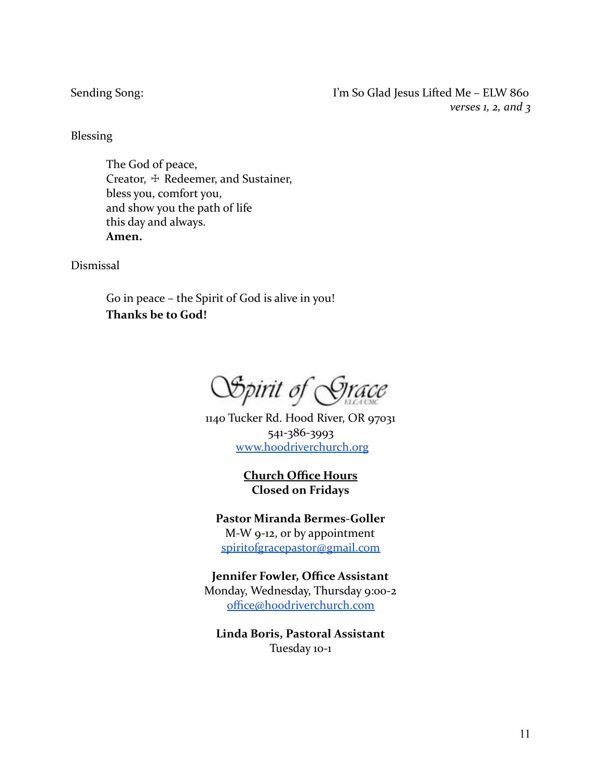Sending Song: I'm So Glad Jesus Lifted Me – ELW 860 *verses 1, 2, and 3*

Blessing

The God of peace, Creator,  $\pm$  Redeemer, and Sustainer, bless you, comfort you, and show you the path of life this day and always. **Amen.**

Dismissal

Go in peace – the Spirit of God is alive in you! **Thanks be to God!**

Ospirit of Grace

1140 Tucker Rd. Hood River, OR 97031 541-386-3993 [www.hoodriverchurch.org](http://www.hoodriverchurch.org)

**Church Office Hours Closed on Fridays**

**Pastor Miranda Bermes-Goller** M-W 9-12, or by appointment [spiritofgracepastor@gmail.com](mailto:spiritofgracepastor@gmail.com)

**Jennifer Fowler, Office Assistant** Monday, Wednesday, Thursday 9:00-2 [office@hoodriverchurch.com](mailto:office@hoodriverchurch.com)

**Linda Boris, Pastoral Assistant** Tuesday 10-1